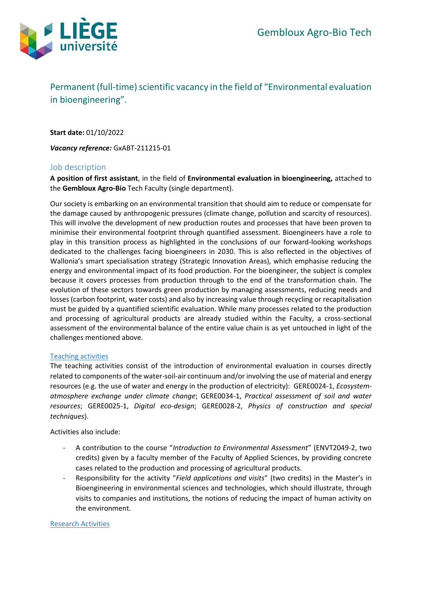

# Permanent (full-time) scientific vacancy in the field of "Environmental evaluation in bioengineering".

**Start date:** 01/10/2022

*Vacancy reference:* GxABT-211215-01

## Job description

**A position of first assistant**, in the field of **Environmental evaluation in bioengineering,** attached to the **Gembloux Agro-Bio** Tech Faculty (single department).

Our society is embarking on an environmental transition that should aim to reduce or compensate for the damage caused by anthropogenic pressures (climate change, pollution and scarcity of resources). This will involve the development of new production routes and processes that have been proven to minimise their environmental footprint through quantified assessment. Bioengineers have a role to play in this transition process as highlighted in the conclusions of our forward-looking workshops dedicated to the challenges facing bioengineers in 2030. This is also reflected in the objectives of Wallonia's smart specialisation strategy (Strategic Innovation Areas), which emphasise reducing the energy and environmental impact of its food production. For the bioengineer, the subject is complex because it covers processes from production through to the end of the transformation chain. The evolution of these sectors towards green production by managing assessments, reducing needs and losses (carbon footprint, water costs) and also by increasing value through recycling or recapitalisation must be guided by a quantified scientific evaluation. While many processes related to the production and processing of agricultural products are already studied within the Faculty, a cross-sectional assessment of the environmental balance of the entire value chain is as yet untouched in light of the challenges mentioned above.

#### Teaching activities

The teaching activities consist of the introduction of environmental evaluation in courses directly related to components of the water-soil-air continuum and/or involving the use of material and energy resources (e.g. the use of water and energy in the production of electricity): GERE0024-1, *Ecosystematmosphere exchange under climate change*; GERE0034-1, *Practical assessment of soil and water resources*; GERE0025-1, *Digital eco-design*; GERE0028-2, *Physics of construction and special techniques*).

Activities also include:

- A contribution to the course "*Introduction to Environmental Assessment*" (ENVT2049-2, two credits) given by a faculty member of the Faculty of Applied Sciences, by providing concrete cases related to the production and processing of agricultural products.
- Responsibility for the activity "*Field applications and visits*" (two credits) in the Master's in Bioengineering in environmental sciences and technologies, which should illustrate, through visits to companies and institutions, the notions of reducing the impact of human activity on the environment.

#### Research Activities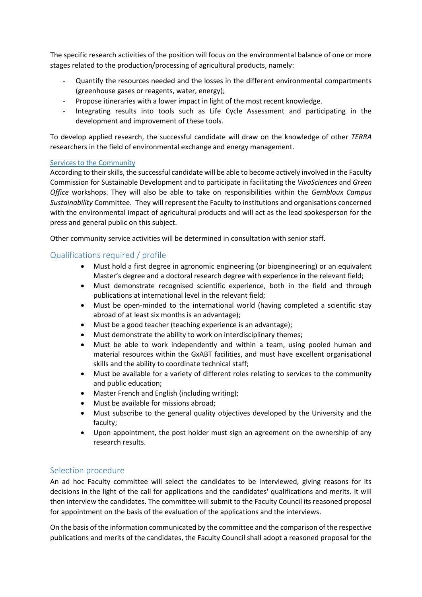The specific research activities of the position will focus on the environmental balance of one or more stages related to the production/processing of agricultural products, namely:

- Quantify the resources needed and the losses in the different environmental compartments (greenhouse gases or reagents, water, energy);
- Propose itineraries with a lower impact in light of the most recent knowledge.
- Integrating results into tools such as Life Cycle Assessment and participating in the development and improvement of these tools.

To develop applied research, the successful candidate will draw on the knowledge of other *TERRA* researchers in the field of environmental exchange and energy management.

## Services to the Community

According to their skills, the successful candidate will be able to become actively involved in the Faculty Commission for Sustainable Development and to participate in facilitating the *VivaSciences* and *Green Office* workshops. They will also be able to take on responsibilities within the *Gembloux Campus Sustainability* Committee. They will represent the Faculty to institutions and organisations concerned with the environmental impact of agricultural products and will act as the lead spokesperson for the press and general public on this subject.

Other community service activities will be determined in consultation with senior staff.

# Qualifications required / profile

- Must hold a first degree in agronomic engineering (or bioengineering) or an equivalent Master's degree and a doctoral research degree with experience in the relevant field;
- Must demonstrate recognised scientific experience, both in the field and through publications at international level in the relevant field;
- Must be open-minded to the international world (having completed a scientific stay abroad of at least six months is an advantage);
- Must be a good teacher (teaching experience is an advantage);
- Must demonstrate the ability to work on interdisciplinary themes;
- Must be able to work independently and within a team, using pooled human and material resources within the GxABT facilities, and must have excellent organisational skills and the ability to coordinate technical staff;
- Must be available for a variety of different roles relating to services to the community and public education;
- Master French and English (including writing);
- Must be available for missions abroad;
- Must subscribe to the general quality objectives developed by the University and the faculty;
- Upon appointment, the post holder must sign an agreement on the ownership of any research results.

# Selection procedure

An ad hoc Faculty committee will select the candidates to be interviewed, giving reasons for its decisions in the light of the call for applications and the candidates' qualifications and merits. It will then interview the candidates. The committee will submit to the Faculty Council its reasoned proposal for appointment on the basis of the evaluation of the applications and the interviews.

On the basis of the information communicated by the committee and the comparison of the respective publications and merits of the candidates, the Faculty Council shall adopt a reasoned proposal for the